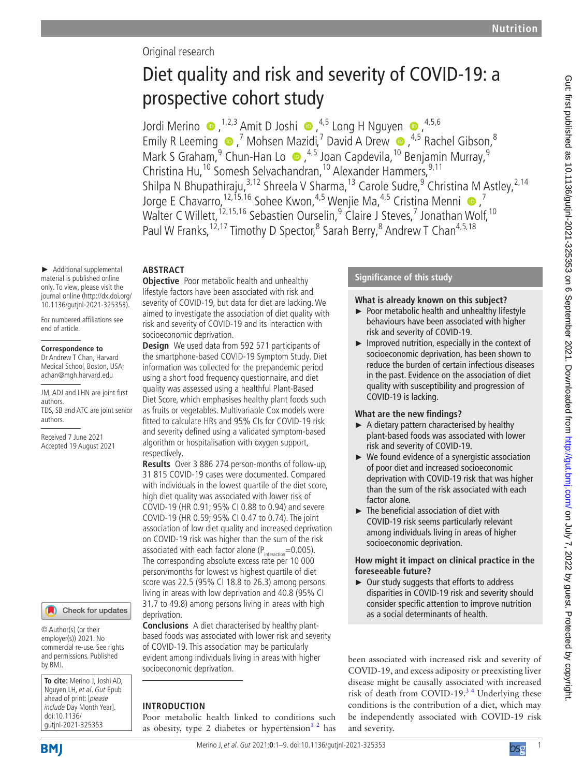## Original research

# Diet quality and risk and severity of COVID-19: a prospective cohort study

JordiMerino  $\bullet$ , <sup>1,2,3</sup> Amit D Joshi  $\bullet$ , <sup>4,5</sup> Long H Nguyen  $\bullet$ , <sup>4,5,6</sup> EmilyR Leeming  $\bullet$ , *N* Mohsen Mazidi,<sup>7</sup> David A Drew  $\bullet$ , <sup>4,5</sup> Rachel Gibson,<sup>8</sup> MarkS Graham,<sup>9</sup> Chun-Han Lo  $\bullet$ , <sup>4,5</sup> Joan Capdevila, <sup>10</sup> Benjamin Murray, <sup>9</sup> Christina Hu,<sup>10</sup> Somesh Selvachandran,<sup>10</sup> Alexander Hammers,<sup>9,11</sup> Shilpa N Bhupathiraju,<sup>3,12</sup> Shreela V Sharma,<sup>13</sup> Carole Sudre,<sup>9</sup> Christina M Astley,<sup>2,14</sup> Jorge E Chavarro,  $^{12,15,16}$  Sohee Kwon,  $^{4,5}$  Wenjie Ma,  $^{4,5}$  Cristina Menni  $\bullet$ ,  $^7$ Walter C Willett, <sup>12, 15, 16</sup> Sebastien Ourselin, <sup>9</sup> Claire J Steves, 7 Jonathan Wolf, <sup>10</sup> Paul W Franks, <sup>12, 17</sup> Timothy D Spector, <sup>8</sup> Sarah Berry, <sup>8</sup> Andrew T Chan<sup>4, 5, 18</sup>

#### ► Additional supplemental material is published online only. To view, please visit the journal online ([http://dx.doi.org/](http://dx.doi.org/10.1136/gutjnl-2021-325353) **ABSTRACT**

[10.1136/gutjnl-2021-325353\)](http://dx.doi.org/10.1136/gutjnl-2021-325353). For numbered affiliations see end of article.

#### **Correspondence to**

Dr Andrew T Chan, Harvard Medical School, Boston, USA; achan@mgh.harvard.edu

JM, ADJ and LHN are joint first authors. TDS, SB and ATC are joint senior authors.

Received 7 June 2021 Accepted 19 August 2021

## Check for updates

© Author(s) (or their employer(s)) 2021. No commercial re-use. See rights and permissions. Published by BMJ.

**To cite:** Merino J, Joshi AD, Nguyen LH, et al. Gut Epub ahead of print: [please include Day Month Year]. doi:10.1136/ gutjnl-2021-325353

**Objective** Poor metabolic health and unhealthy lifestyle factors have been associated with risk and severity of COVID-19, but data for diet are lacking. We aimed to investigate the association of diet quality with risk and severity of COVID-19 and its interaction with socioeconomic deprivation.

**Design** We used data from 592 571 participants of the smartphone-based COVID-19 Symptom Study. Diet information was collected for the prepandemic period using a short food frequency questionnaire, and diet quality was assessed using a healthful Plant-Based Diet Score, which emphasises healthy plant foods such as fruits or vegetables. Multivariable Cox models were fitted to calculate HRs and 95% CIs for COVID-19 risk and severity defined using a validated symptom-based algorithm or hospitalisation with oxygen support, respectively.

**Results** Over 3 886 274 person-months of follow-up, 31 815 COVID-19 cases were documented. Compared with individuals in the lowest quartile of the diet score, high diet quality was associated with lower risk of COVID-19 (HR 0.91; 95% CI 0.88 to 0.94) and severe COVID-19 (HR 0.59; 95% CI 0.47 to 0.74). The joint association of low diet quality and increased deprivation on COVID-19 risk was higher than the sum of the risk associated with each factor alone ( $P_{interaction}$ =0.005). The corresponding absolute excess rate per 10 000 person/months for lowest vs highest quartile of diet score was 22.5 (95% CI 18.8 to 26.3) among persons living in areas with low deprivation and 40.8 (95% CI 31.7 to 49.8) among persons living in areas with high deprivation.

**Conclusions** A diet characterised by healthy plantbased foods was associated with lower risk and severity of COVID-19. This association may be particularly evident among individuals living in areas with higher socioeconomic deprivation.

## **INTRODUCTION**

Poor metabolic health linked to conditions such as obesity, type 2 diabetes or hypertension<sup>12</sup> has

## **Significance of this study**

## **What is already known on this subject?**

- ► Poor metabolic health and unhealthy lifestyle behaviours have been associated with higher risk and severity of COVID-19.
- ► Improved nutrition, especially in the context of socioeconomic deprivation, has been shown to reduce the burden of certain infectious diseases in the past. Evidence on the association of diet quality with susceptibility and progression of COVID-19 is lacking.

## **What are the new findings?**

- $\blacktriangleright$  A dietary pattern characterised by healthy plant-based foods was associated with lower risk and severity of COVID-19.
- ► We found evidence of a synergistic association of poor diet and increased socioeconomic deprivation with COVID-19 risk that was higher than the sum of the risk associated with each factor alone.
- ► The beneficial association of diet with COVID-19 risk seems particularly relevant among individuals living in areas of higher socioeconomic deprivation.

## **How might it impact on clinical practice in the foreseeable future?**

► Our study suggests that efforts to address disparities in COVID-19 risk and severity should consider specific attention to improve nutrition as a social determinants of health.

been associated with increased risk and severity of COVID-19, and excess adiposity or preexisting liver disease might be causally associated with increased risk of death from COVID-19.<sup>34</sup> Underlying these conditions is the contribution of a diet, which may be independently associated with COVID-19 risk and severity.

**BMI** 

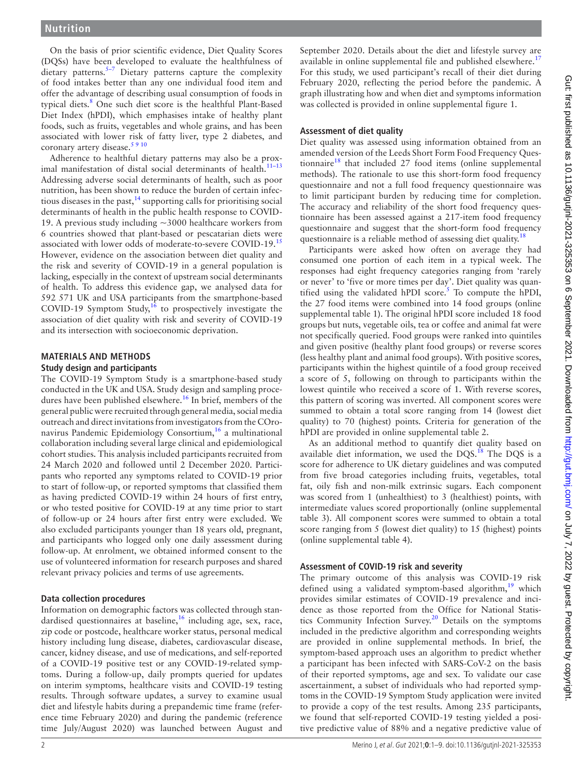On the basis of prior scientific evidence, Diet Quality Scores (DQSs) have been developed to evaluate the healthfulness of  $\det$  dietary patterns.<sup>5-7</sup> Dietary patterns capture the complexity of food intakes better than any one individual food item and offer the advantage of describing usual consumption of foods in typical diets.<sup>[8](#page-8-3)</sup> One such diet score is the healthful Plant-Based Diet Index (hPDI), which emphasises intake of healthy plant foods, such as fruits, vegetables and whole grains, and has been associated with lower risk of fatty liver, type 2 diabetes, and coronary artery disease.<sup>[5 9 10](#page-8-2)</sup>

Adherence to healthful dietary patterns may also be a proximal manifestation of distal social determinants of health.<sup>11-13</sup> Addressing adverse social determinants of health, such as poor nutrition, has been shown to reduce the burden of certain infectious diseases in the past, $14$  supporting calls for prioritising social determinants of health in the public health response to COVID-19. A previous study including ~3000 healthcare workers from 6 countries showed that plant-based or pescatarian diets were associated with lower odds of moderate-to-severe COVID-19.[15](#page-8-6) However, evidence on the association between diet quality and the risk and severity of COVID-19 in a general population is lacking, especially in the context of upstream social determinants of health. To address this evidence gap, we analysed data for 592 571 UK and USA participants from the smartphone-based COVID-19 Symptom Study, $16$  to prospectively investigate the association of diet quality with risk and severity of COVID-19 and its intersection with socioeconomic deprivation.

#### **MATERIALS AND METHODS Study design and participants**

The COVID-19 Symptom Study is a smartphone-based study conducted in the UK and USA. Study design and sampling procedures have been published elsewhere.<sup>16</sup> In brief, members of the general public were recruited through general media, social media outreach and direct invitations from investigators from the COronavirus Pandemic Epidemiology Consortium,<sup>16</sup> a multinational collaboration including several large clinical and epidemiological cohort studies. This analysis included participants recruited from 24 March 2020 and followed until 2 December 2020. Participants who reported any symptoms related to COVID-19 prior to start of follow-up, or reported symptoms that classified them as having predicted COVID-19 within 24 hours of first entry, or who tested positive for COVID-19 at any time prior to start of follow-up or 24 hours after first entry were excluded. We also excluded participants younger than 18 years old, pregnant, and participants who logged only one daily assessment during follow-up. At enrolment, we obtained informed consent to the use of volunteered information for research purposes and shared relevant privacy policies and terms of use agreements.

## **Data collection procedures**

Information on demographic factors was collected through standardised questionnaires at baseline, $16$  including age, sex, race, zip code or postcode, healthcare worker status, personal medical history including lung disease, diabetes, cardiovascular disease, cancer, kidney disease, and use of medications, and self-reported of a COVID-19 positive test or any COVID-19-related symptoms. During a follow-up, daily prompts queried for updates on interim symptoms, healthcare visits and COVID-19 testing results. Through software updates, a survey to examine usual diet and lifestyle habits during a prepandemic time frame (reference time February 2020) and during the pandemic (reference time July/August 2020) was launched between August and

September 2020. Details about the diet and lifestyle survey are available in [online supplemental file](https://dx.doi.org/10.1136/gutjnl-2021-325353) and published elsewhere.<sup>[17](#page-8-8)</sup> For this study, we used participant's recall of their diet during February 2020, reflecting the period before the pandemic. A graph illustrating how and when diet and symptoms information was collected is provided in [online supplemental figure 1](https://dx.doi.org/10.1136/gutjnl-2021-325353).

## **Assessment of diet quality**

Diet quality was assessed using information obtained from an amended version of the Leeds Short Form Food Frequency Ques-tionnaire<sup>[18](#page-8-9)</sup> that included 27 food items ([online supplemental](https://dx.doi.org/10.1136/gutjnl-2021-325353) [methods\)](https://dx.doi.org/10.1136/gutjnl-2021-325353). The rationale to use this short-form food frequency questionnaire and not a full food frequency questionnaire was to limit participant burden by reducing time for completion. The accuracy and reliability of the short food frequency questionnaire has been assessed against a 217-item food frequency questionnaire and suggest that the short-form food frequency questionnaire is a reliable method of assessing diet quality.<sup>[18](#page-8-9)</sup>

Participants were asked how often on average they had consumed one portion of each item in a typical week. The responses had eight frequency categories ranging from 'rarely or never' to 'five or more times per day'. Diet quality was quantified using the validated hPDI score.<sup>5</sup> To compute the hPDI, the 27 food items were combined into 14 food groups [\(online](https://dx.doi.org/10.1136/gutjnl-2021-325353) [supplemental table 1\)](https://dx.doi.org/10.1136/gutjnl-2021-325353). The original hPDI score included 18 food groups but nuts, vegetable oils, tea or coffee and animal fat were not specifically queried. Food groups were ranked into quintiles and given positive (healthy plant food groups) or reverse scores (less healthy plant and animal food groups). With positive scores, participants within the highest quintile of a food group received a score of 5, following on through to participants within the lowest quintile who received a score of 1. With reverse scores, this pattern of scoring was inverted. All component scores were summed to obtain a total score ranging from 14 (lowest diet quality) to 70 (highest) points. Criteria for generation of the hPDI are provided in [online supplemental table 2](https://dx.doi.org/10.1136/gutjnl-2021-325353).

As an additional method to quantify diet quality based on available diet information, we used the  $DQS$ .<sup>[18](#page-8-9)</sup> The  $DQS$  is a score for adherence to UK dietary guidelines and was computed from five broad categories including fruits, vegetables, total fat, oily fish and non-milk extrinsic sugars. Each component was scored from 1 (unhealthiest) to 3 (healthiest) points, with intermediate values scored proportionally ([online supplemental](https://dx.doi.org/10.1136/gutjnl-2021-325353) [table 3\)](https://dx.doi.org/10.1136/gutjnl-2021-325353). All component scores were summed to obtain a total score ranging from 5 (lowest diet quality) to 15 (highest) points ([online supplemental table 4](https://dx.doi.org/10.1136/gutjnl-2021-325353)).

## **Assessment of COVID-19 risk and severity**

The primary outcome of this analysis was COVID-19 risk defined using a validated symptom-based algorithm,<sup>[19](#page-8-10)</sup> which provides similar estimates of COVID-19 prevalence and incidence as those reported from the Office for National Statistics Community Infection Survey.[20](#page-8-11) Details on the symptoms included in the predictive algorithm and corresponding weights are provided in [online supplemental methods.](https://dx.doi.org/10.1136/gutjnl-2021-325353) In brief, the symptom-based approach uses an algorithm to predict whether a participant has been infected with SARS-CoV-2 on the basis of their reported symptoms, age and sex. To validate our case ascertainment, a subset of individuals who had reported symptoms in the COVID-19 Symptom Study application were invited to provide a copy of the test results. Among 235 participants, we found that self-reported COVID-19 testing yielded a positive predictive value of 88% and a negative predictive value of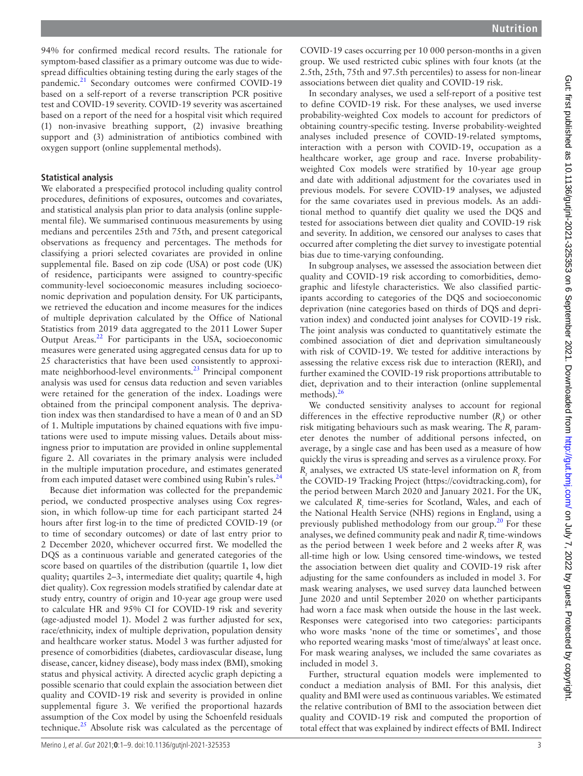94% for confirmed medical record results. The rationale for symptom-based classifier as a primary outcome was due to widespread difficulties obtaining testing during the early stages of the pandemic.<sup>[21](#page-8-12)</sup> Secondary outcomes were confirmed COVID-19 based on a self-report of a reverse transcription PCR positive test and COVID-19 severity. COVID-19 severity was ascertained based on a report of the need for a hospital visit which required (1) non-invasive breathing support, (2) invasive breathing support and (3) administration of antibiotics combined with oxygen support [\(online supplemental methods\)](https://dx.doi.org/10.1136/gutjnl-2021-325353).

#### **Statistical analysis**

We elaborated a prespecified protocol including quality control procedures, definitions of exposures, outcomes and covariates, and statistical analysis plan prior to data analysis [\(online supple](https://dx.doi.org/10.1136/gutjnl-2021-325353)[mental file](https://dx.doi.org/10.1136/gutjnl-2021-325353)). We summarised continuous measurements by using medians and percentiles 25th and 75th, and present categorical observations as frequency and percentages. The methods for classifying a priori selected covariates are provided in [online](https://dx.doi.org/10.1136/gutjnl-2021-325353)  [supplemental file.](https://dx.doi.org/10.1136/gutjnl-2021-325353) Based on zip code (USA) or post code (UK) of residence, participants were assigned to country-specific community-level socioeconomic measures including socioeconomic deprivation and population density. For UK participants, we retrieved the education and income measures for the indices of multiple deprivation calculated by the Office of National Statistics from 2019 data aggregated to the 2011 Lower Super Output Areas.<sup>[22](#page-8-13)</sup> For participants in the USA, socioeconomic measures were generated using aggregated census data for up to 25 characteristics that have been used consistently to approximate neighborhood-level environments.[23](#page-8-14) Principal component analysis was used for census data reduction and seven variables were retained for the generation of the index. Loadings were obtained from the principal component analysis. The deprivation index was then standardised to have a mean of 0 and an SD of 1. Multiple imputations by chained equations with five imputations were used to impute missing values. Details about missingness prior to imputation are provided in [online supplemental](https://dx.doi.org/10.1136/gutjnl-2021-325353)  [figure 2.](https://dx.doi.org/10.1136/gutjnl-2021-325353) All covariates in the primary analysis were included in the multiple imputation procedure, and estimates generated from each imputed dataset were combined using Rubin's rules.<sup>[24](#page-8-15)</sup>

Because diet information was collected for the prepandemic period, we conducted prospective analyses using Cox regression, in which follow-up time for each participant started 24 hours after first log-in to the time of predicted COVID-19 (or to time of secondary outcomes) or date of last entry prior to 2 December 2020, whichever occurred first. We modelled the DQS as a continuous variable and generated categories of the score based on quartiles of the distribution (quartile 1, low diet quality; quartiles 2–3, intermediate diet quality; quartile 4, high diet quality). Cox regression models stratified by calendar date at study entry, country of origin and 10-year age group were used to calculate HR and 95% CI for COVID-19 risk and severity (age-adjusted model 1). Model 2 was further adjusted for sex, race/ethnicity, index of multiple deprivation, population density and healthcare worker status. Model 3 was further adjusted for presence of comorbidities (diabetes, cardiovascular disease, lung disease, cancer, kidney disease), body mass index (BMI), smoking status and physical activity. A directed acyclic graph depicting a possible scenario that could explain the association between diet quality and COVID-19 risk and severity is provided in [online](https://dx.doi.org/10.1136/gutjnl-2021-325353)  [supplemental figure 3](https://dx.doi.org/10.1136/gutjnl-2021-325353). We verified the proportional hazards assumption of the Cox model by using the Schoenfeld residuals technique[.25](#page-8-16) Absolute risk was calculated as the percentage of

In secondary analyses, we used a self-report of a positive test to define COVID-19 risk. For these analyses, we used inverse probability-weighted Cox models to account for predictors of obtaining country-specific testing. Inverse probability-weighted analyses included presence of COVID-19-related symptoms, interaction with a person with COVID-19, occupation as a healthcare worker, age group and race. Inverse probabilityweighted Cox models were stratified by 10-year age group and date with additional adjustment for the covariates used in previous models. For severe COVID-19 analyses, we adjusted for the same covariates used in previous models. As an additional method to quantify diet quality we used the DQS and tested for associations between diet quality and COVID-19 risk and severity. In addition, we censored our analyses to cases that occurred after completing the diet survey to investigate potential bias due to time-varying confounding.

In subgroup analyses, we assessed the association between diet quality and COVID-19 risk according to comorbidities, demographic and lifestyle characteristics. We also classified participants according to categories of the DQS and socioeconomic deprivation (nine categories based on thirds of DQS and deprivation index) and conducted joint analyses for COVID-19 risk. The joint analysis was conducted to quantitatively estimate the combined association of diet and deprivation simultaneously with risk of COVID-19. We tested for additive interactions by assessing the relative excess risk due to interaction (RERI), and further examined the COVID-19 risk proportions attributable to diet, deprivation and to their interaction [\(online supplemental](https://dx.doi.org/10.1136/gutjnl-2021-325353) [methods\)](https://dx.doi.org/10.1136/gutjnl-2021-325353). $^{26}$  $^{26}$  $^{26}$ 

We conducted sensitivity analyses to account for regional differences in the effective reproductive number  $(R<sub>i</sub>)$  or other risk mitigating behaviours such as mask wearing. The *R*<sub>t</sub> parameter denotes the number of additional persons infected, on average, by a single case and has been used as a measure of how quickly the virus is spreading and serves as a virulence proxy. For  $R$ <sub>t</sub> analyses, we extracted US state-level information on  $R$ <sub>t</sub> from the COVID-19 Tracking Project [\(https://covidtracking.com\)](https://covidtracking.com), for the period between March 2020 and January 2021. For the UK, we calculated R<sub>t</sub> time-series for Scotland, Wales, and each of the National Health Service (NHS) regions in England, using a previously published methodology from our group.<sup>[20](#page-8-11)</sup> For these analyses, we defined community peak and nadir  $R_t$  time-windows as the period between 1 week before and 2 weeks after  $R_t$  was all-time high or low. Using censored time-windows, we tested the association between diet quality and COVID-19 risk after adjusting for the same confounders as included in model 3. For mask wearing analyses, we used survey data launched between June 2020 and until September 2020 on whether participants had worn a face mask when outside the house in the last week. Responses were categorised into two categories: participants who wore masks 'none of the time or sometimes', and those who reported wearing masks 'most of time/always' at least once. For mask wearing analyses, we included the same covariates as included in model 3.

Further, structural equation models were implemented to conduct a mediation analysis of BMI. For this analysis, diet quality and BMI were used as continuous variables. We estimated the relative contribution of BMI to the association between diet quality and COVID-19 risk and computed the proportion of total effect that was explained by indirect effects of BMI. Indirect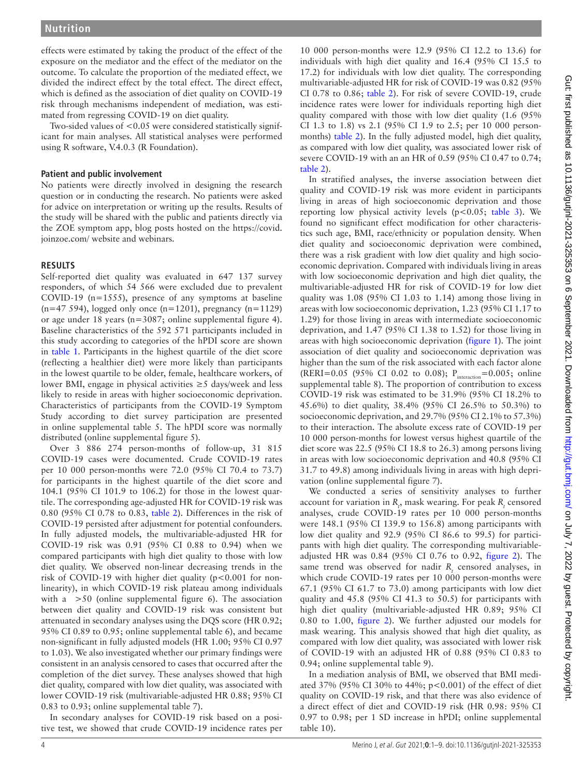effects were estimated by taking the product of the effect of the exposure on the mediator and the effect of the mediator on the outcome. To calculate the proportion of the mediated effect, we divided the indirect effect by the total effect. The direct effect, which is defined as the association of diet quality on COVID-19 risk through mechanisms independent of mediation, was estimated from regressing COVID-19 on diet quality.

Two-sided values of <0.05 were considered statistically significant for main analyses. All statistical analyses were performed using R software, V.4.0.3 (R Foundation).

#### **Patient and public involvement**

No patients were directly involved in designing the research question or in conducting the research. No patients were asked for advice on interpretation or writing up the results. Results of the study will be shared with the public and patients directly via the ZOE symptom app, blog posts hosted on the [https://covid.](https://covid.joinzoe.com/) [joinzoe.com/](https://covid.joinzoe.com/) website and webinars.

## **RESULTS**

Self-reported diet quality was evaluated in 647 137 survey responders, of which 54 566 were excluded due to prevalent COVID-19 (n=1555), presence of any symptoms at baseline (n=47 594), logged only once (n=1201), pregnancy (n=1129) or age under 18 years (n=3087; [online supplemental figure 4](https://dx.doi.org/10.1136/gutjnl-2021-325353)). Baseline characteristics of the 592 571 participants included in this study according to categories of the hPDI score are shown in [table](#page-4-0) 1. Participants in the highest quartile of the diet score (reflecting a healthier diet) were more likely than participants in the lowest quartile to be older, female, healthcare workers, of lower BMI, engage in physical activities ≥5 days/week and less likely to reside in areas with higher socioeconomic deprivation. Characteristics of participants from the COVID-19 Symptom Study according to diet survey participation are presented in [online supplemental table 5](https://dx.doi.org/10.1136/gutjnl-2021-325353). The hPDI score was normally distributed [\(online supplemental figure 5\)](https://dx.doi.org/10.1136/gutjnl-2021-325353).

Over 3 886 274 person-months of follow-up, 31 815 COVID-19 cases were documented. Crude COVID-19 rates per 10 000 person-months were 72.0 (95% CI 70.4 to 73.7) for participants in the highest quartile of the diet score and 104.1 (95% CI 101.9 to 106.2) for those in the lowest quartile. The corresponding age-adjusted HR for COVID-19 risk was 0.80 (95% CI 0.78 to 0.83, [table](#page-5-0) 2). Differences in the risk of COVID-19 persisted after adjustment for potential confounders. In fully adjusted models, the multivariable-adjusted HR for COVID-19 risk was 0.91 (95% CI 0.88 to 0.94) when we compared participants with high diet quality to those with low diet quality. We observed non-linear decreasing trends in the risk of COVID-19 with higher diet quality (p<0.001 for nonlinearity), in which COVID-19 risk plateau among individuals with a  $>50$  [\(online supplemental figure 6](https://dx.doi.org/10.1136/gutjnl-2021-325353)). The association between diet quality and COVID-19 risk was consistent but attenuated in secondary analyses using the DQS score (HR 0.92; 95% CI 0.89 to 0.95; [online supplemental table 6](https://dx.doi.org/10.1136/gutjnl-2021-325353)), and became non-significant in fully adjusted models (HR 1.00; 95% CI 0.97 to 1.03). We also investigated whether our primary findings were consistent in an analysis censored to cases that occurred after the completion of the diet survey. These analyses showed that high diet quality, compared with low diet quality, was associated with lower COVID-19 risk (multivariable-adjusted HR 0.88; 95% CI 0.83 to 0.93; [online supplemental table 7\)](https://dx.doi.org/10.1136/gutjnl-2021-325353).

In secondary analyses for COVID-19 risk based on a positive test, we showed that crude COVID-19 incidence rates per

10 000 person-months were 12.9 (95% CI 12.2 to 13.6) for individuals with high diet quality and 16.4 (95% CI 15.5 to 17.2) for individuals with low diet quality. The corresponding multivariable-adjusted HR for risk of COVID-19 was 0.82 (95% CI 0.78 to 0.86; [table](#page-5-0) 2). For risk of severe COVID-19, crude incidence rates were lower for individuals reporting high diet quality compared with those with low diet quality (1.6 (95% CI 1.3 to 1.8) vs 2.1 (95% CI 1.9 to 2.5; per 10 000 personmonths) [table](#page-5-0) 2). In the fully adjusted model, high diet quality, as compared with low diet quality, was associated lower risk of severe COVID-19 with an an HR of 0.59 (95% CI 0.47 to 0.74; [table](#page-5-0) 2).

In stratified analyses, the inverse association between diet quality and COVID-19 risk was more evident in participants living in areas of high socioeconomic deprivation and those reporting low physical activity levels  $(p<0.05$ ; [table](#page-6-0) 3). We found no significant effect modification for other characteristics such age, BMI, race/ethnicity or population density. When diet quality and socioeconomic deprivation were combined, there was a risk gradient with low diet quality and high socioeconomic deprivation. Compared with individuals living in areas with low socioeconomic deprivation and high diet quality, the multivariable-adjusted HR for risk of COVID-19 for low diet quality was 1.08 (95% CI 1.03 to 1.14) among those living in areas with low socioeconomic deprivation, 1.23 (95% CI 1.17 to 1.29) for those living in areas with intermediate socioeconomic deprivation, and 1.47 (95% CI 1.38 to 1.52) for those living in areas with high socioeconomic deprivation ([figure](#page-6-1) 1). The joint association of diet quality and socioeconomic deprivation was higher than the sum of the risk associated with each factor alone (RERI=0.05 (95% CI 0.02 to 0.08);  $P_{interaction} = 0.005$ ; [online](https://dx.doi.org/10.1136/gutjnl-2021-325353) [supplemental table 8\)](https://dx.doi.org/10.1136/gutjnl-2021-325353). The proportion of contribution to excess COVID-19 risk was estimated to be 31.9% (95% CI 18.2% to 45.6%) to diet quality, 38.4% (95% CI 26.5% to 50.3%) to socioeconomic deprivation, and 29.7% (95% CI 2.1% to 57.3%) to their interaction. The absolute excess rate of COVID-19 per 10 000 person-months for lowest versus highest quartile of the diet score was 22.5 (95% CI 18.8 to 26.3) among persons living in areas with low socioeconomic deprivation and 40.8 (95% CI 31.7 to 49.8) among individuals living in areas with high deprivation [\(online supplemental figure 7\)](https://dx.doi.org/10.1136/gutjnl-2021-325353).

We conducted a series of sensitivity analyses to further account for variation in  $R_t$ , mask wearing. For peak  $R_t$  censored analyses, crude COVID-19 rates per 10 000 person-months were 148.1 (95% CI 139.9 to 156.8) among participants with low diet quality and 92.9 (95% CI 86.6 to 99.5) for participants with high diet quality. The corresponding multivariableadjusted HR was 0.84 (95% CI 0.76 to 0.92, [figure](#page-6-2) 2). The same trend was observed for nadir  $R_t$  censored analyses, in which crude COVID-19 rates per 10 000 person-months were 67.1 (95% CI 61.7 to 73.0) among participants with low diet quality and 45.8 (95% CI 41.3 to 50.5) for participants with high diet quality (multivariable-adjusted HR 0.89; 95% CI 0.80 to 1.00, [figure](#page-6-2) 2). We further adjusted our models for mask wearing. This analysis showed that high diet quality, as compared with low diet quality, was associated with lower risk of COVID-19 with an adjusted HR of 0.88 (95% CI 0.83 to 0.94; [online supplemental table 9\)](https://dx.doi.org/10.1136/gutjnl-2021-325353).

In a mediation analysis of BMI, we observed that BMI mediated 37% (95% CI 30% to 44%; p<0.001) of the effect of diet quality on COVID-19 risk, and that there was also evidence of a direct effect of diet and COVID-19 risk (HR 0.98: 95% CI 0.97 to 0.98; per 1 SD increase in hPDI; [online supplemental](https://dx.doi.org/10.1136/gutjnl-2021-325353) [table 10\)](https://dx.doi.org/10.1136/gutjnl-2021-325353).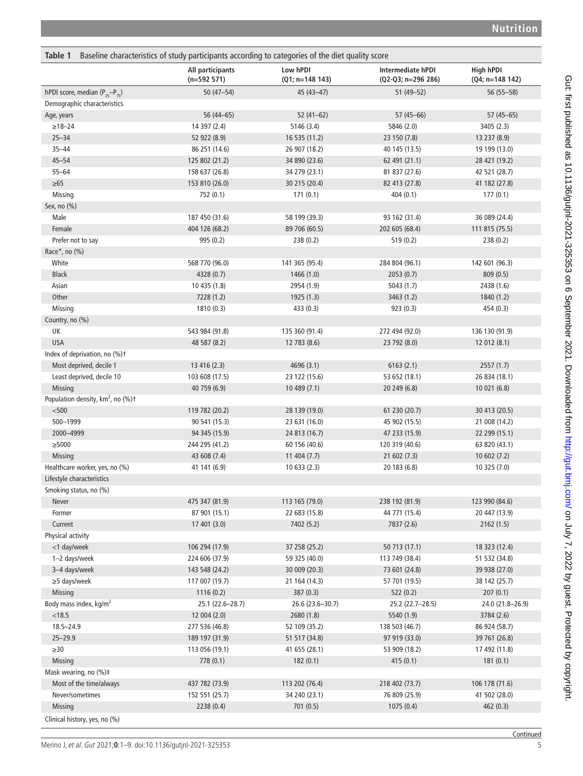<span id="page-4-0"></span>

| Table 1                                                   | Baseline characteristics of study participants according to categories of the diet quality score |                               |                                                |                                |
|-----------------------------------------------------------|--------------------------------------------------------------------------------------------------|-------------------------------|------------------------------------------------|--------------------------------|
|                                                           | All participants<br>$(n=592 571)$                                                                | Low hPDI<br>$(Q1; n=148 143)$ | <b>Intermediate hPDI</b><br>(Q2-Q3; n=296 286) | High hPDI<br>$(Q4; n=148 142)$ |
| hPDI score, median $(P_{25}-P_{75})$                      | $50(47 - 54)$                                                                                    | $45(43 - 47)$                 | $51(49 - 52)$                                  | 56 (55-58)                     |
| Demographic characteristics                               |                                                                                                  |                               |                                                |                                |
| Age, years                                                | 56 (44 - 65)                                                                                     | $52(41-62)$                   | $57(45 - 66)$                                  | $57(45 - 65)$                  |
| $\geq 18 - 24$                                            | 14 397 (2.4)                                                                                     | 5146 (3.4)                    | 5846 (2.0)                                     | 3405 (2.3)                     |
| $25 - 34$                                                 | 52 922 (8.9)                                                                                     | 16 535 (11.2)                 | 23 150 (7.8)                                   | 13 237 (8.9)                   |
| $35 - 44$                                                 | 86 251 (14.6)                                                                                    | 26 907 (18.2)                 | 40 145 (13.5)                                  | 19 199 (13.0)                  |
| $45 - 54$                                                 | 125 802 (21.2)                                                                                   | 34 890 (23.6)                 | 62 491 (21.1)                                  | 28 421 (19.2)                  |
| $55 - 64$                                                 | 158 637 (26.8)                                                                                   | 34 279 (23.1)                 | 81 837 (27.6)                                  | 42 521 (28.7)                  |
| $\geq 65$                                                 | 153 810 (26.0)                                                                                   | 30 215 (20.4)                 | 82 413 (27.8)                                  | 41 182 (27.8)                  |
| Missing                                                   | 752 (0.1)                                                                                        | 171(0.1)                      | 404(0.1)                                       | 177(0.1)                       |
| Sex, no (%)                                               |                                                                                                  |                               |                                                |                                |
| Male                                                      | 187 450 (31.6)                                                                                   | 58 199 (39.3)                 | 93 162 (31.4)                                  | 36 089 (24.4)                  |
| Female                                                    | 404 126 (68.2)                                                                                   | 89 706 (60.5)                 | 202 605 (68.4)                                 | 111 815 (75.5)                 |
| Prefer not to say                                         | 995 (0.2)                                                                                        | 238(0.2)                      | 519 (0.2)                                      | 238 (0.2)                      |
| Race*, no (%)                                             |                                                                                                  |                               |                                                |                                |
| White                                                     | 568 770 (96.0)                                                                                   | 141 365 (95.4)                | 284 804 (96.1)                                 | 142 601 (96.3)                 |
| <b>Black</b>                                              | 4328 (0.7)                                                                                       | 1466 (1.0)                    | 2053(0.7)                                      | 809(0.5)                       |
| Asian                                                     | 10 435 (1.8)                                                                                     | 2954 (1.9)                    | 5043(1.7)                                      | 2438 (1.6)                     |
| Other                                                     | 7228 (1.2)                                                                                       | 1925 (1.3)                    | 3463 (1.2)                                     | 1840 (1.2)                     |
| Missing                                                   | 1810 (0.3)                                                                                       | 433(0.3)                      | 923(0.3)                                       | 454 (0.3)                      |
| Country, no (%)                                           |                                                                                                  |                               |                                                |                                |
| UK                                                        | 543 984 (91.8)                                                                                   | 135 360 (91.4)                | 272 494 (92.0)                                 | 136 130 (91.9)                 |
| <b>USA</b>                                                | 48 587 (8.2)                                                                                     | 12 783 (8.6)                  | 23 792 (8.0)                                   | 12 012 (8.1)                   |
| Index of deprivation, no (%)t                             |                                                                                                  |                               |                                                |                                |
| Most deprived, decile 1                                   | 13 416 (2.3)                                                                                     | 4696 (3.1)                    | 6163(2.1)                                      | 2557(1.7)                      |
| Least deprived, decile 10                                 | 103 608 (17.5)                                                                                   | 23 122 (15.6)                 | 53 652 (18.1)                                  | 26 834 (18.1)                  |
| <b>Missing</b>                                            | 40 759 (6.9)                                                                                     | 10489(7.1)                    | 20 249 (6.8)                                   | 10021(6.8)                     |
| Population density, km <sup>2</sup> , no (%) <sup>+</sup> |                                                                                                  |                               |                                                |                                |
| $500$                                                     | 119 782 (20.2)                                                                                   | 28 139 (19.0)                 | 61 230 (20.7)                                  | 30 413 (20.5)                  |
| 500-1999                                                  | 90 541 (15.3)                                                                                    | 23 631 (16.0)                 | 45 902 (15.5)                                  | 21 008 (14.2)                  |
| 2000-4999                                                 | 94 345 (15.9)                                                                                    | 24 813 (16.7)                 |                                                | 22 299 (15.1)                  |
| $\geq$ 5000                                               |                                                                                                  |                               | 47 233 (15.9)                                  |                                |
|                                                           | 244 295 (41.2)                                                                                   | 60 156 (40.6)                 | 120 319 (40.6)                                 | 63 820 (43.1)                  |
| Missing                                                   | 43 608 (7.4)                                                                                     | 11404(7.7)                    | 21602(7.3)                                     | 10602(7.2)                     |
| Healthcare worker, yes, no (%)                            | 41 141 (6.9)                                                                                     | 10633(2.3)                    | 20 183 (6.8)                                   | 10 325 (7.0)                   |
| Lifestyle characteristics                                 |                                                                                                  |                               |                                                |                                |
| Smoking status, no (%)                                    |                                                                                                  |                               |                                                |                                |
| Never                                                     | 475 347 (81.9)                                                                                   | 113 165 (79.0)                | 238 192 (81.9)                                 | 123 990 (84.6)                 |
| Former                                                    | 87 901 (15.1)                                                                                    | 22 683 (15.8)                 | 44 771 (15.4)                                  | 20 447 (13.9)                  |
| Current                                                   | 17 401 (3.0)                                                                                     | 7402 (5.2)                    | 7837 (2.6)                                     | 2162(1.5)                      |
| Physical activity                                         |                                                                                                  |                               |                                                |                                |
| <1 day/week                                               | 106 294 (17.9)                                                                                   | 37 258 (25.2)                 | 50 713 (17.1)                                  | 18 323 (12.4)                  |
| 1-2 days/week                                             | 224 606 (37.9)                                                                                   | 59 325 (40.0)                 | 113 749 (38.4)                                 | 51 532 (34.8)                  |
| 3-4 days/week                                             | 143 548 (24.2)                                                                                   | 30 009 (20.3)                 | 73 601 (24.8)                                  | 39 938 (27.0)                  |
| $\geq$ 5 days/week                                        | 117 007 (19.7)                                                                                   | 21 164 (14.3)                 | 57 701 (19.5)                                  | 38 142 (25.7)                  |
| Missing                                                   | 1116 (0.2)                                                                                       | 387(0.3)                      | 522(0.2)                                       | 207(0.1)                       |
| Body mass index, kg/m <sup>2</sup>                        | 25.1 (22.6-28.7)                                                                                 | 26.6 (23.6-30.7)              | 25.2 (22.7-28.5)                               | 24.0 (21.8-26.9)               |
| < 18.5                                                    | 12 004 (2.0)                                                                                     | 2680 (1.8)                    | 5540 (1.9)                                     | 3784 (2.6)                     |
| $18.5 - 24.9$                                             | 277 536 (46.8)                                                                                   | 52 109 (35.2)                 | 138 503 (46.7)                                 | 86 924 (58.7)                  |
| $25 - 29.9$                                               | 189 197 (31.9)                                                                                   | 51 517 (34.8)                 | 97 919 (33.0)                                  | 39 761 (26.8)                  |
| $\geq 30$                                                 | 113 056 (19.1)                                                                                   | 41 655 (28.1)                 | 53 909 (18.2)                                  | 17 492 (11.8)                  |
| Missing                                                   | 778 (0.1)                                                                                        | 182(0.1)                      | 415(0.1)                                       | 181(0.1)                       |
| Mask wearing, no (%)#                                     |                                                                                                  |                               |                                                |                                |
| Most of the time/always                                   | 437 782 (73.9)                                                                                   | 113 202 (76.4)                | 218 402 (73.7)                                 | 106 178 (71.6)                 |
| Never/sometimes                                           | 152 551 (25.7)                                                                                   | 34 240 (23.1)                 | 76 809 (25.9)                                  | 41 502 (28.0)                  |
| Missing                                                   | 2238 (0.4)                                                                                       | 701(0.5)                      | 1075(0.4)                                      | 462(0.3)                       |
| Clinical history, yes, no (%)                             |                                                                                                  |                               |                                                |                                |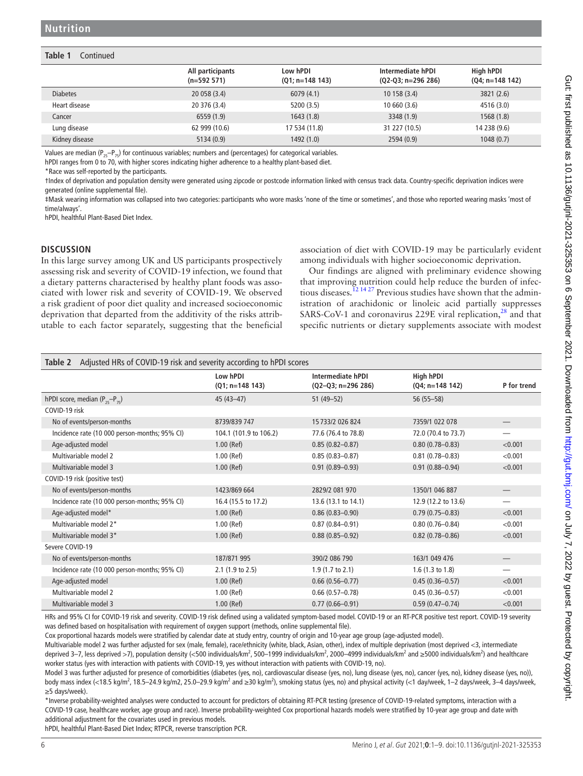#### **Table 1** Continued

|                 | All participants<br>$(n=592 571)$ | Low hPDI<br>$(Q1; n=148 143)$ | Intermediate hPDI<br>$(Q2-Q3; n=296 286)$ | High hPDI<br>$(Q4; n=148 142)$ |
|-----------------|-----------------------------------|-------------------------------|-------------------------------------------|--------------------------------|
| <b>Diabetes</b> | 20 058 (3.4)                      | 6079(4.1)                     | 10 158 (3.4)                              | 3821(2.6)                      |
| Heart disease   | 20 376 (3.4)                      | 5200 (3.5)                    | 10660(3.6)                                | 4516 (3.0)                     |
| Cancer          | 6559(1.9)                         | 1643(1.8)                     | 3348 (1.9)                                | 1568(1.8)                      |
| Lung disease    | 62 999 (10.6)                     | 17 534 (11.8)                 | 31 227 (10.5)                             | 14 238 (9.6)                   |
| Kidney disease  | 5134(0.9)                         | 1492(1.0)                     | 2594(0.9)                                 | 1048(0.7)                      |

Values are median ( $P_{25}-P_{25}$ ) for continuous variables; numbers and (percentages) for categorical variables.

hPDI ranges from 0 to 70, with higher scores indicating higher adherence to a healthy plant-based diet.

\*Race was self-reported by the participants.

†Index of deprivation and population density were generated using zipcode or postcode information linked with census track data. Country-specific deprivation indices were generated ([online supplemental file\)](https://dx.doi.org/10.1136/gutjnl-2021-325353).

‡Mask wearing information was collapsed into two categories: participants who wore masks 'none of the time or sometimes', and those who reported wearing masks 'most of time/always'.

hPDI, healthful Plant-Based Diet Index.

#### **DISCUSSION**

In this large survey among UK and US participants prospectively assessing risk and severity of COVID-19 infection, we found that a dietary patterns characterised by healthy plant foods was associated with lower risk and severity of COVID-19. We observed a risk gradient of poor diet quality and increased socioeconomic deprivation that departed from the additivity of the risks attributable to each factor separately, suggesting that the beneficial association of diet with COVID-19 may be particularly evident among individuals with higher socioeconomic deprivation.

Our findings are aligned with preliminary evidence showing that improving nutrition could help reduce the burden of infectious diseases.<sup>12 14 27</sup> Previous studies have shown that the administration of arachidonic or linoleic acid partially suppresses SARS-CoV-1 and coronavirus 229E viral replication, $28$  and that specific nutrients or dietary supplements associate with modest

<span id="page-5-0"></span>

| Adjusted HRs of COVID-19 risk and severity according to hPDI scores<br>Table 2 |                               |                                                  |                                |                          |  |
|--------------------------------------------------------------------------------|-------------------------------|--------------------------------------------------|--------------------------------|--------------------------|--|
|                                                                                | Low hPDI<br>$(Q1; n=148 143)$ | <b>Intermediate hPDI</b><br>$(Q2-Q3; n=296 286)$ | High hPDI<br>$(Q4; n=148 142)$ | P for trend              |  |
| hPDI score, median $(P_{25}-P_{75})$                                           | $45(43-47)$                   | $51(49-52)$                                      | $56(55-58)$                    |                          |  |
| COVID-19 risk                                                                  |                               |                                                  |                                |                          |  |
| No of events/person-months                                                     | 8739/839 747                  | 15 733/2 026 824                                 | 7359/1 022 078                 |                          |  |
| Incidence rate (10 000 person-months; 95% CI)                                  | 104.1 (101.9 to 106.2)        | 77.6 (76.4 to 78.8)                              | 72.0 (70.4 to 73.7)            |                          |  |
| Age-adjusted model                                                             | $1.00$ (Ref)                  | $0.85(0.82 - 0.87)$                              | $0.80(0.78 - 0.83)$            | < 0.001                  |  |
| Multivariable model 2                                                          | $1.00$ (Ref)                  | $0.85(0.83 - 0.87)$                              | $0.81(0.78 - 0.83)$            | < 0.001                  |  |
| Multivariable model 3                                                          | $1.00$ (Ref)                  | $0.91(0.89 - 0.93)$                              | $0.91(0.88 - 0.94)$            | < 0.001                  |  |
| COVID-19 risk (positive test)                                                  |                               |                                                  |                                |                          |  |
| No of events/person-months                                                     | 1423/869 664                  | 2829/2 081 970                                   | 1350/1 046 887                 |                          |  |
| Incidence rate (10 000 person-months; 95% CI)                                  | 16.4 (15.5 to 17.2)           | 13.6 (13.1 to 14.1)                              | 12.9 (12.2 to 13.6)            | $\overline{\phantom{0}}$ |  |
| Age-adjusted model*                                                            | $1.00$ (Ref)                  | $0.86(0.83 - 0.90)$                              | $0.79(0.75 - 0.83)$            | < 0.001                  |  |
| Multivariable model 2*                                                         | $1.00$ (Ref)                  | $0.87(0.84 - 0.91)$                              | $0.80(0.76 - 0.84)$            | < 0.001                  |  |
| Multivariable model 3*                                                         | $1.00$ (Ref)                  | $0.88(0.85 - 0.92)$                              | $0.82$ (0.78-0.86)             | < 0.001                  |  |
| Severe COVID-19                                                                |                               |                                                  |                                |                          |  |
| No of events/person-months                                                     | 187/871 995                   | 390/2 086 790                                    | 163/1 049 476                  |                          |  |
| Incidence rate (10 000 person-months; 95% CI)                                  | $2.1$ (1.9 to 2.5)            | $1.9(1.7 \text{ to } 2.1)$                       | $1.6$ (1.3 to 1.8)             |                          |  |
| Age-adjusted model                                                             | $1.00$ (Ref)                  | $0.66(0.56 - 0.77)$                              | $0.45(0.36 - 0.57)$            | < 0.001                  |  |
| Multivariable model 2                                                          | $1.00$ (Ref)                  | $0.66(0.57-0.78)$                                | $0.45(0.36 - 0.57)$            | < 0.001                  |  |
| Multivariable model 3                                                          | $1.00$ (Ref)                  | $0.77(0.66 - 0.91)$                              | $0.59(0.47 - 0.74)$            | < 0.001                  |  |

HRs and 95% CI for COVID-19 risk and severity. COVID-19 risk defined using a validated symptom-based model. COVID-19 or an RT-PCR positive test report. COVID-19 severity was defined based on hospitalisation with requirement of oxygen support (methods, [online supplemental file](https://dx.doi.org/10.1136/gutjnl-2021-325353)).

Cox proportional hazards models were stratified by calendar date at study entry, country of origin and 10-year age group (age-adjusted model).

Multivariable model 2 was further adjusted for sex (male, female), race/ethnicity (white, black, Asian, other), index of multiple deprivation (most deprived <3, intermediate deprived 3–7, less deprived >7), population density (<500 individuals/km<sup>2</sup>, 500–1999 individuals/km<sup>2</sup>, 2000–4999 individuals/km<sup>2</sup> and ≥5000 individuals/km<sup>2</sup>) and healthcare worker status (yes with interaction with patients with COVID-19, yes without interaction with patients with COVID-19, no).

Model 3 was further adjusted for presence of comorbidities (diabetes (yes, no), cardiovascular disease (yes, no), lung disease (yes, no), cancer (yes, no), kidney disease (yes, no)), body mass index (<18.5 kg/m<sup>2</sup>, 18.5–24.9 kg/m2, 25.0–29.9 kg/m<sup>2</sup> and ≥30 kg/m<sup>2</sup>), smoking status (yes, no) and physical activity (<1 day/week, 1–2 days/week, 3–4 days/week, ≥5 days/week).

\*Inverse probability-weighted analyses were conducted to account for predictors of obtaining RT-PCR testing (presence of COVID-19-related symptoms, interaction with a COVID-19 case, healthcare worker, age group and race). Inverse probability-weighted Cox proportional hazards models were stratified by 10-year age group and date with additional adjustment for the covariates used in previous models.

hPDI, healthful Plant-Based Diet Index; RTPCR, reverse transcription PCR.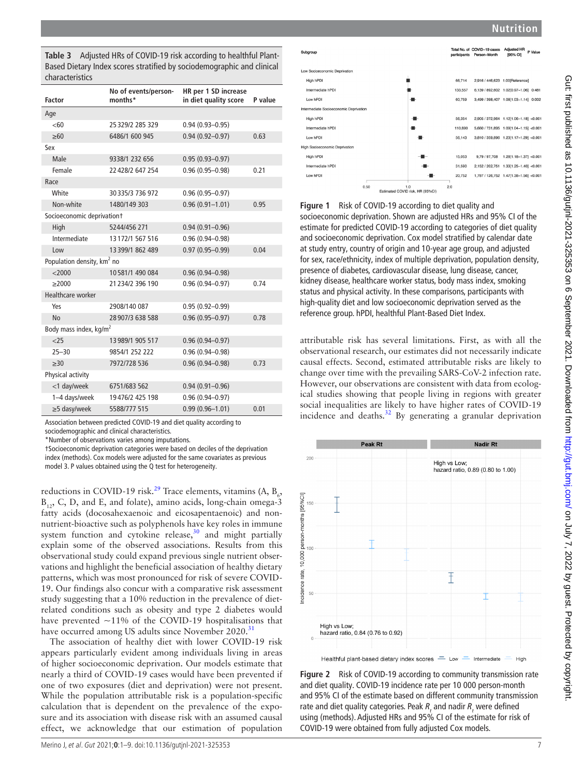<span id="page-6-0"></span>**Table 3** Adjusted HRs of COVID-19 risk according to healthful Plant-Based Dietary Index scores stratified by sociodemographic and clinical characteristics

| <b>Factor</b>                          | No of events/person-<br>months* | HR per 1 SD increase<br>in diet quality score | P value |  |
|----------------------------------------|---------------------------------|-----------------------------------------------|---------|--|
| Age                                    |                                 |                                               |         |  |
| <60                                    | 25 329/2 285 329                | $0.94(0.93 - 0.95)$                           |         |  |
| >60                                    | 6486/1 600 945                  | $0.94(0.92 - 0.97)$                           | 0.63    |  |
| Sex                                    |                                 |                                               |         |  |
| Male                                   | 9338/1 232 656                  | $0.95(0.93 - 0.97)$                           |         |  |
| Female                                 | 22 428/2 647 254                | $0.96(0.95 - 0.98)$                           | 0.21    |  |
| Race                                   |                                 |                                               |         |  |
| White                                  | 30335/3736972                   | $0.96(0.95 - 0.97)$                           |         |  |
| Non-white                              | 1480/149 303                    | $0.96(0.91 - 1.01)$                           | 0.95    |  |
| Socioeconomic deprivationt             |                                 |                                               |         |  |
| High                                   | 5244/456 271                    | $0.94(0.91 - 0.96)$                           |         |  |
| Intermediate                           | 13172/1 567 516                 | $0.96(0.94 - 0.98)$                           |         |  |
| low                                    | 13 399/1 862 489                | $0.97(0.95 - 0.99)$                           | 0.04    |  |
| Population density, km <sup>2</sup> no |                                 |                                               |         |  |
| $<$ 2000                               | 10581/1 490 084                 | $0.96(0.94 - 0.98)$                           |         |  |
| >2000                                  | 21 234/2 396 190                | $0.96(0.94 - 0.97)$                           | 0.74    |  |
| Healthcare worker                      |                                 |                                               |         |  |
| Yes                                    | 2908/140 087                    | $0.95(0.92 - 0.99)$                           |         |  |
| <b>No</b>                              | 28907/3638588                   | $0.96(0.95 - 0.97)$                           | 0.78    |  |
| Body mass index, kg/m <sup>2</sup>     |                                 |                                               |         |  |
| 25                                     | 13 989/1 905 517                | $0.96(0.94 - 0.97)$                           |         |  |
| $25 - 30$                              | 9854/1 252 222                  | $0.96(0.94 - 0.98)$                           |         |  |
| $\geq 30$                              | 7972/728 536                    | $0.96(0.94 - 0.98)$                           | 0.73    |  |
| Physical activity                      |                                 |                                               |         |  |
| <1 day/week                            | 6751/683 562                    | $0.94(0.91 - 0.96)$                           |         |  |
| 1-4 days/week                          | 19476/2 425 198                 | $0.96(0.94 - 0.97)$                           |         |  |
| ≥5 dasy/week                           | 5588/777 515                    | $0.99(0.96 - 1.01)$                           | 0.01    |  |
|                                        |                                 |                                               |         |  |

Association between predicted COVID-19 and diet quality according to sociodemographic and clinical characteristics.

\*Number of observations varies among imputations.

†Socioeconomic deprivation categories were based on deciles of the deprivation

index (methods). Cox models were adjusted for the same covariates as previous model 3. P values obtained using the Q test for heterogeneity.

reductions in COVID-19 risk.<sup>[29](#page-8-20)</sup> Trace elements, vitamins (A,  $B_6$ ,  $B_{12}$ , C, D, and E, and folate), amino acids, long-chain omega-3 fatty acids (docosahexaenoic and eicosapentaenoic) and nonnutrient-bioactive such as polyphenols have key roles in immune system function and cytokine release, $30$  and might partially explain some of the observed associations. Results from this observational study could expand previous single nutrient observations and highlight the beneficial association of healthy dietary patterns, which was most pronounced for risk of severe COVID-19. Our findings also concur with a comparative risk assessment study suggesting that a 10% reduction in the prevalence of dietrelated conditions such as obesity and type 2 diabetes would have prevented  $\sim$ 11% of the COVID-19 hospitalisations that have occurred among US adults since November 2020.<sup>[31](#page-8-22)</sup>

The association of healthy diet with lower COVID-19 risk appears particularly evident among individuals living in areas of higher socioeconomic deprivation. Our models estimate that nearly a third of COVID-19 cases would have been prevented if one of two exposures (diet and deprivation) were not present. While the population attributable risk is a population-specific calculation that is dependent on the prevalence of the exposure and its association with disease risk with an assumed causal effect, we acknowledge that our estimation of population



<span id="page-6-1"></span>**Figure 1** Risk of COVID-19 according to diet quality and socioeconomic deprivation. Shown are adjusted HRs and 95% CI of the estimate for predicted COVID-19 according to categories of diet quality and socioeconomic deprivation. Cox model stratified by calendar date at study entry, country of origin and 10-year age group, and adjusted for sex, race/ethnicity, index of multiple deprivation, population density,

presence of diabetes, cardiovascular disease, lung disease, cancer, kidney disease, healthcare worker status, body mass index, smoking status and physical activity. In these comparisons, participants with high-quality diet and low socioeconomic deprivation served as the reference group. hPDI, healthful Plant-Based Diet Index.

attributable risk has several limitations. First, as with all the observational research, our estimates did not necessarily indicate causal effects. Second, estimated attributable risks are likely to change over time with the prevailing SARS-CoV-2 infection rate. However, our observations are consistent with data from ecological studies showing that people living in regions with greater social inequalities are likely to have higher rates of COVID-19 incidence and deaths[.32](#page-8-23) By generating a granular deprivation



<span id="page-6-2"></span>**Figure 2** Risk of COVID-19 according to community transmission rate and diet quality. COVID-19 incidence rate per 10 000 person-month and 95% CI of the estimate based on different community transmission rate and diet quality categories. Peak  $R_t$  and nadir  $R_t$  were defined using (methods). Adjusted HRs and 95% CI of the estimate for risk of COVID-19 were obtained from fully adjusted Cox models.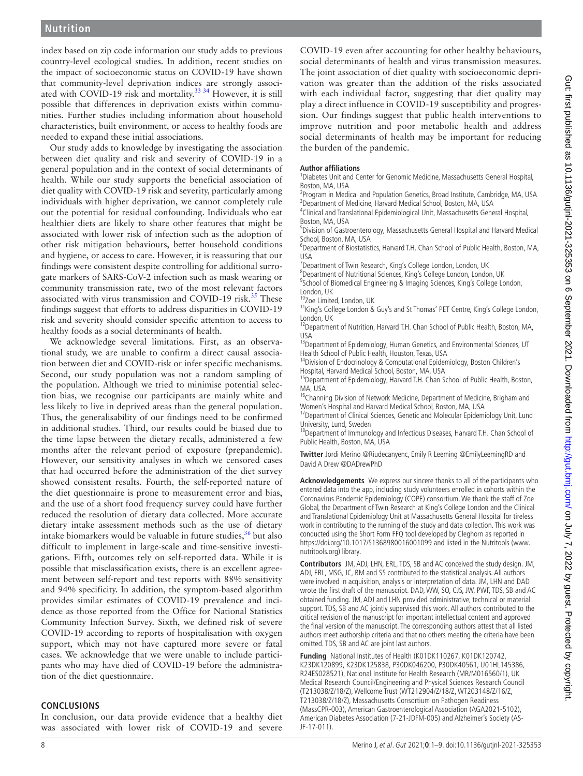index based on zip code information our study adds to previous country-level ecological studies. In addition, recent studies on the impact of socioeconomic status on COVID-19 have shown that community-level deprivation indices are strongly associ-ated with COVID-19 risk and mortality.<sup>[33 34](#page-8-24)</sup> However, it is still possible that differences in deprivation exists within communities. Further studies including information about household characteristics, built environment, or access to healthy foods are needed to expand these initial associations.

Our study adds to knowledge by investigating the association between diet quality and risk and severity of COVID-19 in a general population and in the context of social determinants of health. While our study supports the beneficial association of diet quality with COVID-19 risk and severity, particularly among individuals with higher deprivation, we cannot completely rule out the potential for residual confounding. Individuals who eat healthier diets are likely to share other features that might be associated with lower risk of infection such as the adoption of other risk mitigation behaviours, better household conditions and hygiene, or access to care. However, it is reassuring that our findings were consistent despite controlling for additional surrogate markers of SARS-CoV-2 infection such as mask wearing or community transmission rate, two of the most relevant factors associated with virus transmission and COVID-19 risk.<sup>35</sup> These findings suggest that efforts to address disparities in COVID-19 risk and severity should consider specific attention to access to healthy foods as a social determinants of health.

We acknowledge several limitations. First, as an observational study, we are unable to confirm a direct causal association between diet and COVID-risk or infer specific mechanisms. Second, our study population was not a random sampling of the population. Although we tried to minimise potential selection bias, we recognise our participants are mainly white and less likely to live in deprived areas than the general population. Thus, the generalisability of our findings need to be confirmed in additional studies. Third, our results could be biased due to the time lapse between the dietary recalls, administered a few months after the relevant period of exposure (prepandemic). However, our sensitivity analyses in which we censored cases that had occurred before the administration of the diet survey showed consistent results. Fourth, the self-reported nature of the diet questionnaire is prone to measurement error and bias, and the use of a short food frequency survey could have further reduced the resolution of dietary data collected. More accurate dietary intake assessment methods such as the use of dietary intake biomarkers would be valuable in future studies,  $36$  but also difficult to implement in large-scale and time-sensitive investigations. Fifth, outcomes rely on self-reported data. While it is possible that misclassification exists, there is an excellent agreement between self-report and test reports with 88% sensitivity and 94% specificity. In addition, the symptom-based algorithm provides similar estimates of COVID-19 prevalence and incidence as those reported from the Office for National Statistics Community Infection Survey. Sixth, we defined risk of severe COVID-19 according to reports of hospitalisation with oxygen support, which may not have captured more severe or fatal cases. We acknowledge that we were unable to include participants who may have died of COVID-19 before the administration of the diet questionnaire.

#### **CONCLUSIONS**

In conclusion, our data provide evidence that a healthy diet was associated with lower risk of COVID-19 and severe

COVID-19 even after accounting for other healthy behaviours, social determinants of health and virus transmission measures. The joint association of diet quality with socioeconomic deprivation was greater than the addition of the risks associated with each individual factor, suggesting that diet quality may play a direct influence in COVID-19 susceptibility and progression. Our findings suggest that public health interventions to improve nutrition and poor metabolic health and address social determinants of health may be important for reducing the burden of the pandemic.

#### **Author affiliations**

<sup>1</sup>Diabetes Unit and Center for Genomic Medicine, Massachusetts General Hospital, Boston, MA, USA

<sup>2</sup>Program in Medical and Population Genetics, Broad Institute, Cambridge, MA, USA <sup>3</sup>Department of Medicine, Harvard Medical School, Boston, MA, USA

<sup>4</sup>Clinical and Translational Epidemiological Unit, Massachusetts General Hospital, Boston, MA, USA

5 Division of Gastroenterology, Massachusetts General Hospital and Harvard Medical School, Boston, MA, USA

<sup>6</sup>Department of Biostatistics, Harvard T.H. Chan School of Public Health, Boston, MA, USA

<sup>7</sup> Department of Twin Research, King's College London, London, UK

<sup>8</sup>Department of Nutritional Sciences, King's College London, London, UK

<sup>9</sup>School of Biomedical Engineering & Imaging Sciences, King's College London, London, UK

<sup>0</sup>Zoe Limited, London, UK

11King's College London & Guy's and St Thomas' PET Centre, King's College London, London, UK

<sup>12</sup>Department of Nutrition, Harvard T.H. Chan School of Public Health, Boston, MA, USA

<sup>13</sup> Department of Epidemiology, Human Genetics, and Environmental Sciences, UT Health School of Public Health, Houston, Texas, USA

<sup>14</sup>Division of Endocrinology & Computational Epidemiology, Boston Children's Hospital, Harvard Medical School, Boston, MA, USA

<sup>15</sup>Department of Epidemiology, Harvard T.H. Chan School of Public Health, Boston, MA USA

<sup>16</sup>Channing Division of Network Medicine, Department of Medicine, Brigham and Women's Hospital and Harvard Medical School, Boston, MA, USA

<sup>17</sup>Department of Clinical Sciences, Genetic and Molecular Epidemiology Unit, Lund University, Lund, Sweden

<sup>18</sup>Department of Immunology and Infectious Diseases, Harvard T.H. Chan School of Public Health, Boston, MA, USA

**Twitter** Jordi Merino [@Riudecanyenc,](https://twitter.com/Riudecanyenc) Emily R Leeming [@EmilyLeemingRD](https://twitter.com/EmilyLeemingRD) and David A Drew [@DADrewPhD](https://twitter.com/DADrewPhD)

**Acknowledgements** We express our sincere thanks to all of the participants who entered data into the app, including study volunteers enrolled in cohorts within the Coronavirus Pandemic Epidemiology (COPE) consortium. We thank the staff of Zoe Global, the Department of Twin Research at King's College London and the Clinical and Translational Epidemiology Unit at Massachusetts General Hospital for tireless work in contributing to the running of the study and data collection. This work was conducted using the Short Form FFQ tool developed by Cleghorn as reported in <https://doi.org/10.1017/S1368980016001099> and listed in the Nutritools ([www.](www.nutritools.org) [nutritools.org\)](www.nutritools.org) library.

**Contributors** JM, ADJ, LHN, ERL, TDS, SB and AC conceived the study design. JM, ADJ, ERL, MSG, JC, BM and SS contributed to the statistical analysis. All authors were involved in acquisition, analysis or interpretation of data. JM, LHN and DAD wrote the first draft of the manuscript. DAD, WW, SO, CJS, JW, PWF, TDS, SB and AC obtained funding. JM, ADJ and LHN provided administrative, technical or material support. TDS, SB and AC jointly supervised this work. All authors contributed to the critical revision of the manuscript for important intellectual content and approved the final version of the manuscript. The corresponding authors attest that all listed authors meet authorship criteria and that no others meeting the criteria have been omitted. TDS, SB and AC are joint last authors.

**Funding** National Institutes of Health (K01DK110267, K01DK120742, K23DK120899, K23DK125838, P30DK046200, P30DK40561, U01HL145386, R24ES028521), National Institute for Health Research (MR/M016560/1), UK Medical Research Council/Engineering and Physical Sciences Research Council (T213038/Z/18/Z), Wellcome Trust (WT212904/Z/18/Z, WT203148/Z/16/Z, T213038/Z/18/Z), Massachusetts Consortium on Pathogen Readiness (MassCPR-003), American Gastroenterological Association (AGA2021-5102), American Diabetes Association (7-21-JDFM-005) and Alzheimer's Society (AS-JF-17-011).